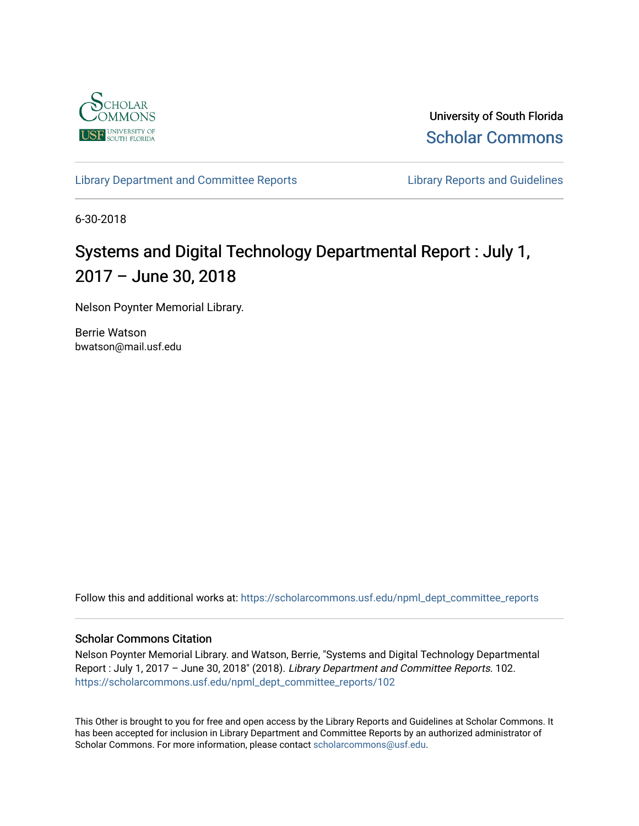

University of South Florida [Scholar Commons](https://scholarcommons.usf.edu/) 

[Library Department and Committee Reports](https://scholarcommons.usf.edu/npml_dept_committee_reports) **Library Reports and Guidelines** 

6-30-2018

## Systems and Digital Technology Departmental Report : July 1, 2017 – June 30, 2018

Nelson Poynter Memorial Library.

Berrie Watson bwatson@mail.usf.edu

Follow this and additional works at: [https://scholarcommons.usf.edu/npml\\_dept\\_committee\\_reports](https://scholarcommons.usf.edu/npml_dept_committee_reports?utm_source=scholarcommons.usf.edu%2Fnpml_dept_committee_reports%2F102&utm_medium=PDF&utm_campaign=PDFCoverPages)

#### Scholar Commons Citation

Nelson Poynter Memorial Library. and Watson, Berrie, "Systems and Digital Technology Departmental Report : July 1, 2017 – June 30, 2018" (2018). Library Department and Committee Reports. 102. [https://scholarcommons.usf.edu/npml\\_dept\\_committee\\_reports/102](https://scholarcommons.usf.edu/npml_dept_committee_reports/102?utm_source=scholarcommons.usf.edu%2Fnpml_dept_committee_reports%2F102&utm_medium=PDF&utm_campaign=PDFCoverPages) 

This Other is brought to you for free and open access by the Library Reports and Guidelines at Scholar Commons. It has been accepted for inclusion in Library Department and Committee Reports by an authorized administrator of Scholar Commons. For more information, please contact [scholarcommons@usf.edu](mailto:scholarcommons@usf.edu).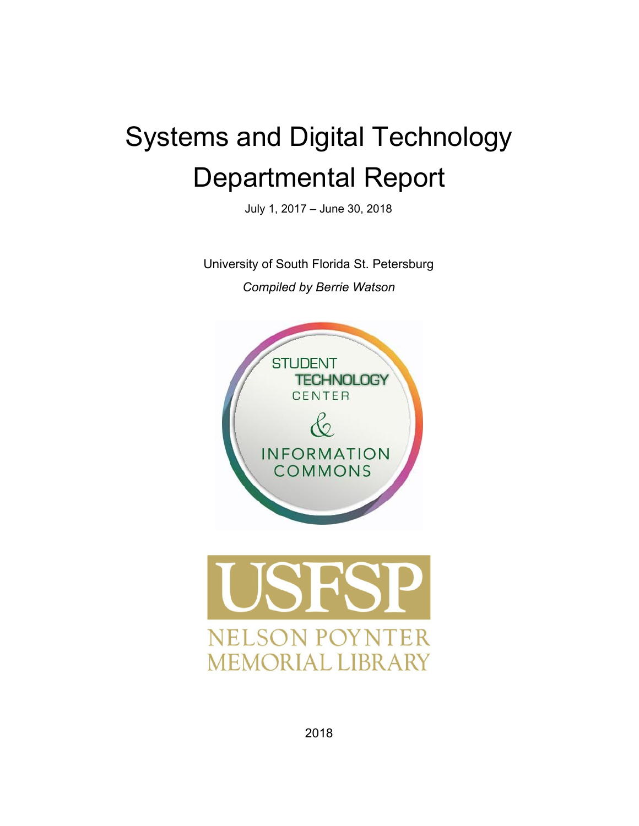# Systems and Digital Technology Departmental Report

July 1, 2017 – June 30, 2018

University of South Florida St. Petersburg *Compiled by Berrie Watson*

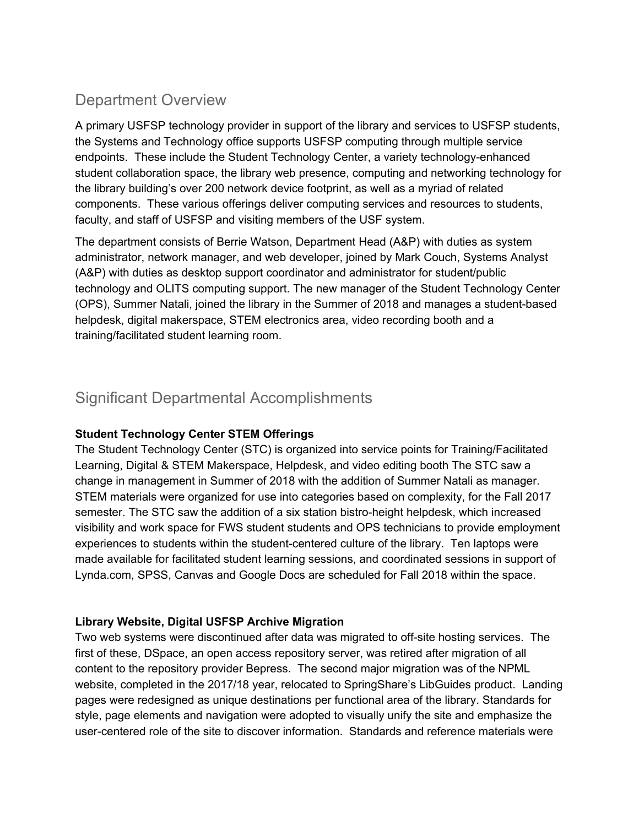## Department Overview

A primary USFSP technology provider in support of the library and services to USFSP students, the Systems and Technology office supports USFSP computing through multiple service endpoints. These include the Student Technology Center, a variety technology-enhanced student collaboration space, the library web presence, computing and networking technology for the library building's over 200 network device footprint, as well as a myriad of related components. These various offerings deliver computing services and resources to students, faculty, and staff of USFSP and visiting members of the USF system.

The department consists of Berrie Watson, Department Head (A&P) with duties as system administrator, network manager, and web developer, joined by Mark Couch, Systems Analyst (A&P) with duties as desktop support coordinator and administrator for student/public technology and OLITS computing support. The new manager of the Student Technology Center (OPS), Summer Natali, joined the library in the Summer of 2018 and manages a student-based helpdesk, digital makerspace, STEM electronics area, video recording booth and a training/facilitated student learning room.

## Significant Departmental Accomplishments

#### **Student Technology Center STEM Offerings**

The Student Technology Center (STC) is organized into service points for Training/Facilitated Learning, Digital & STEM Makerspace, Helpdesk, and video editing booth The STC saw a change in management in Summer of 2018 with the addition of Summer Natali as manager. STEM materials were organized for use into categories based on complexity, for the Fall 2017 semester. The STC saw the addition of a six station bistro-height helpdesk, which increased visibility and work space for FWS student students and OPS technicians to provide employment experiences to students within the student-centered culture of the library. Ten laptops were made available for facilitated student learning sessions, and coordinated sessions in support of Lynda.com, SPSS, Canvas and Google Docs are scheduled for Fall 2018 within the space.

#### **Library Website, Digital USFSP Archive Migration**

Two web systems were discontinued after data was migrated to off-site hosting services. The first of these, DSpace, an open access repository server, was retired after migration of all content to the repository provider Bepress. The second major migration was of the NPML website, completed in the 2017/18 year, relocated to SpringShare's LibGuides product. Landing pages were redesigned as unique destinations per functional area of the library. Standards for style, page elements and navigation were adopted to visually unify the site and emphasize the user-centered role of the site to discover information. Standards and reference materials were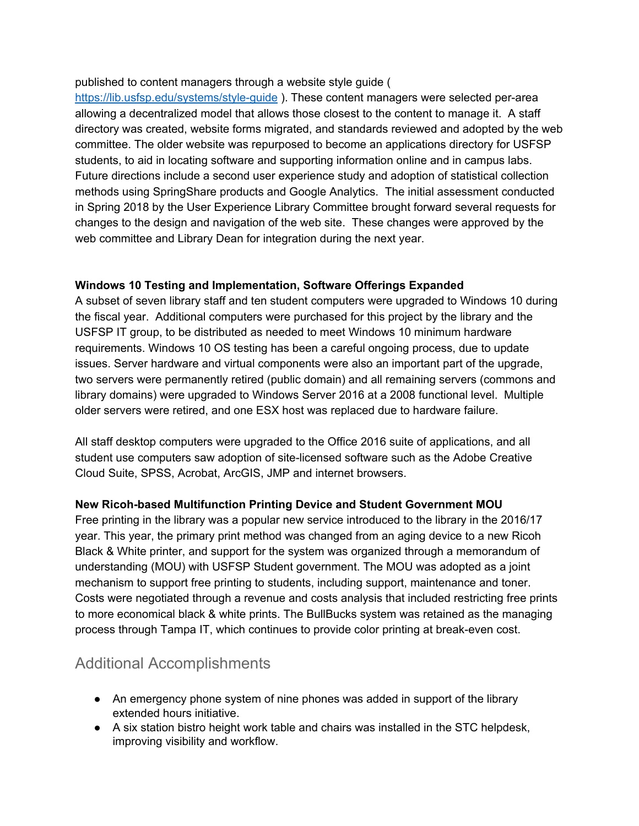#### published to content managers through a website style guide (

<https://lib.usfsp.edu/systems/style-guide> ). These content managers were selected per-area allowing a decentralized model that allows those closest to the content to manage it. A staff directory was created, website forms migrated, and standards reviewed and adopted by the web committee. The older website was repurposed to become an applications directory for USFSP students, to aid in locating software and supporting information online and in campus labs. Future directions include a second user experience study and adoption of statistical collection methods using SpringShare products and Google Analytics. The initial assessment conducted in Spring 2018 by the User Experience Library Committee brought forward several requests for changes to the design and navigation of the web site. These changes were approved by the web committee and Library Dean for integration during the next year.

#### **Windows 10 Testing and Implementation, Software Offerings Expanded**

A subset of seven library staff and ten student computers were upgraded to Windows 10 during the fiscal year. Additional computers were purchased for this project by the library and the USFSP IT group, to be distributed as needed to meet Windows 10 minimum hardware requirements. Windows 10 OS testing has been a careful ongoing process, due to update issues. Server hardware and virtual components were also an important part of the upgrade, two servers were permanently retired (public domain) and all remaining servers (commons and library domains) were upgraded to Windows Server 2016 at a 2008 functional level. Multiple older servers were retired, and one ESX host was replaced due to hardware failure.

All staff desktop computers were upgraded to the Office 2016 suite of applications, and all student use computers saw adoption of site-licensed software such as the Adobe Creative Cloud Suite, SPSS, Acrobat, ArcGIS, JMP and internet browsers.

#### **New Ricoh-based Multifunction Printing Device and Student Government MOU**

Free printing in the library was a popular new service introduced to the library in the 2016/17 year. This year, the primary print method was changed from an aging device to a new Ricoh Black & White printer, and support for the system was organized through a memorandum of understanding (MOU) with USFSP Student government. The MOU was adopted as a joint mechanism to support free printing to students, including support, maintenance and toner. Costs were negotiated through a revenue and costs analysis that included restricting free prints to more economical black & white prints. The BullBucks system was retained as the managing process through Tampa IT, which continues to provide color printing at break-even cost.

## Additional Accomplishments

- An emergency phone system of nine phones was added in support of the library extended hours initiative.
- A six station bistro height work table and chairs was installed in the STC helpdesk, improving visibility and workflow.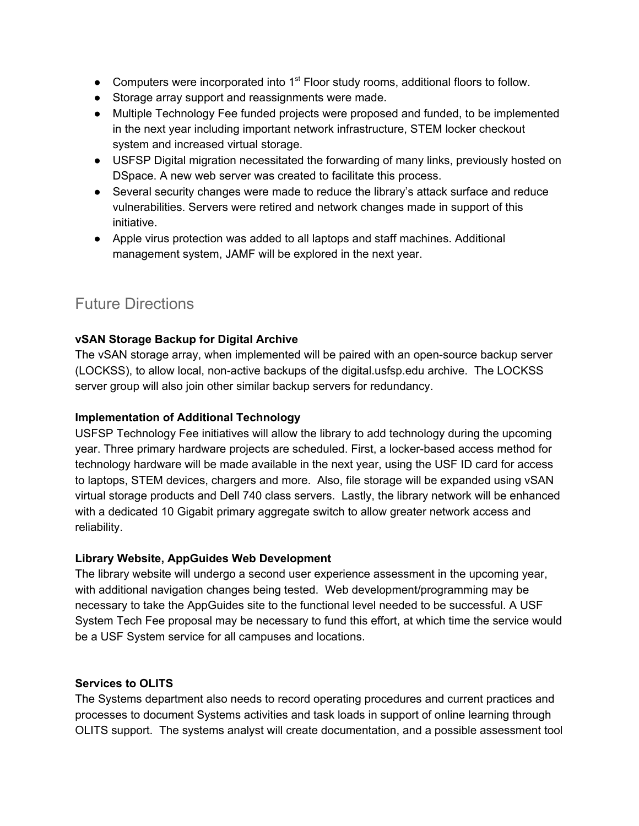- Computers were incorporated into 1<sup>st</sup> Floor study rooms, additional floors to follow.
- Storage array support and reassignments were made.
- Multiple Technology Fee funded projects were proposed and funded, to be implemented in the next year including important network infrastructure, STEM locker checkout system and increased virtual storage.
- USFSP Digital migration necessitated the forwarding of many links, previously hosted on DSpace. A new web server was created to facilitate this process.
- Several security changes were made to reduce the library's attack surface and reduce vulnerabilities. Servers were retired and network changes made in support of this initiative.
- Apple virus protection was added to all laptops and staff machines. Additional management system, JAMF will be explored in the next year.

## Future Directions

#### **vSAN Storage Backup for Digital Archive**

The vSAN storage array, when implemented will be paired with an open-source backup server (LOCKSS), to allow local, non-active backups of the digital.usfsp.edu archive. The LOCKSS server group will also join other similar backup servers for redundancy.

#### **Implementation of Additional Technology**

USFSP Technology Fee initiatives will allow the library to add technology during the upcoming year. Three primary hardware projects are scheduled. First, a locker-based access method for technology hardware will be made available in the next year, using the USF ID card for access to laptops, STEM devices, chargers and more. Also, file storage will be expanded using vSAN virtual storage products and Dell 740 class servers. Lastly, the library network will be enhanced with a dedicated 10 Gigabit primary aggregate switch to allow greater network access and reliability.

#### **Library Website, AppGuides Web Development**

The library website will undergo a second user experience assessment in the upcoming year, with additional navigation changes being tested. Web development/programming may be necessary to take the AppGuides site to the functional level needed to be successful. A USF System Tech Fee proposal may be necessary to fund this effort, at which time the service would be a USF System service for all campuses and locations.

#### **Services to OLITS**

The Systems department also needs to record operating procedures and current practices and processes to document Systems activities and task loads in support of online learning through OLITS support. The systems analyst will create documentation, and a possible assessment tool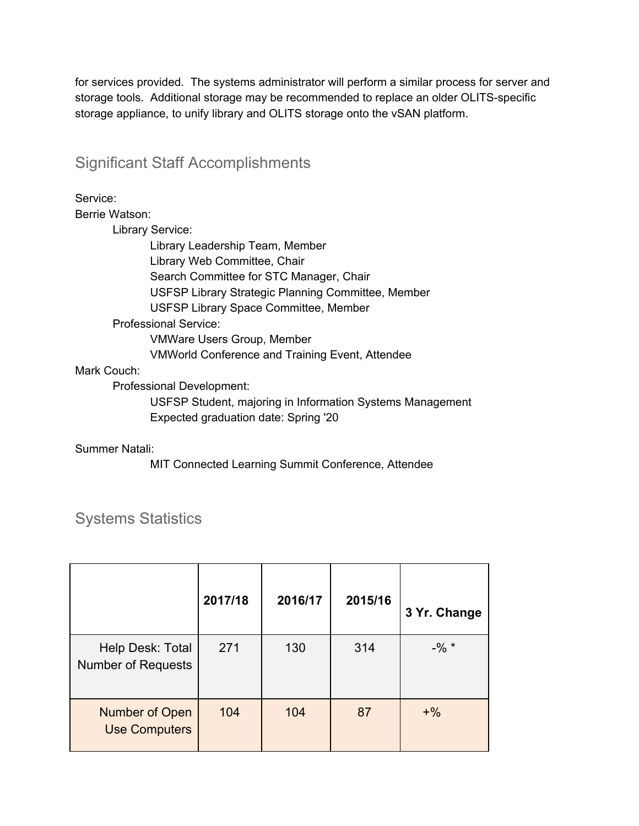for services provided. The systems administrator will perform a similar process for server and storage tools. Additional storage may be recommended to replace an older OLITS-specific storage appliance, to unify library and OLITS storage onto the vSAN platform.

### Significant Staff Accomplishments

Service:

Berrie Watson:

Library Service:

Library Leadership Team, Member Library Web Committee, Chair Search Committee for STC Manager, Chair USFSP Library Strategic Planning Committee, Member USFSP Library Space Committee, Member Professional Service: VMWare Users Group, Member VMWorld Conference and Training Event, Attendee

#### Mark Couch:

Professional Development:

USFSP Student, majoring in Information Systems Management Expected graduation date: Spring '20

#### Summer Natali:

MIT Connected Learning Summit Conference, Attendee

|                                               | 2017/18 | 2016/17 | 2015/16 | 3 Yr. Change |
|-----------------------------------------------|---------|---------|---------|--------------|
| Help Desk: Total<br><b>Number of Requests</b> | 271     | 130     | 314     | $-$ % $*$    |
| Number of Open<br><b>Use Computers</b>        | 104     | 104     | 87      | $+$ %        |

## Systems Statistics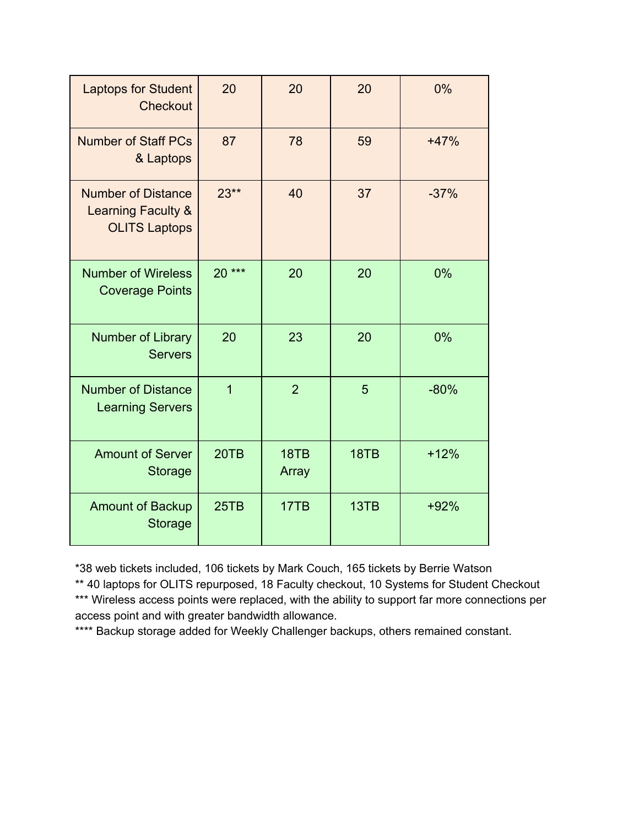| <b>Laptops for Student</b><br><b>Checkout</b>                                      | 20             | 20             | 20   | 0%     |
|------------------------------------------------------------------------------------|----------------|----------------|------|--------|
| <b>Number of Staff PCs</b><br>& Laptops                                            | 87             | 78             | 59   | $+47%$ |
| <b>Number of Distance</b><br><b>Learning Faculty &amp;</b><br><b>OLITS Laptops</b> | $23**$         | 40             | 37   | $-37%$ |
| <b>Number of Wireless</b><br><b>Coverage Points</b>                                | $20***$        | 20             | 20   | 0%     |
| Number of Library<br><b>Servers</b>                                                | 20             | 23             | 20   | 0%     |
| <b>Number of Distance</b><br><b>Learning Servers</b>                               | $\overline{1}$ | $\overline{2}$ | 5    | $-80%$ |
| <b>Amount of Server</b><br><b>Storage</b>                                          | 20TB           | 18TB<br>Array  | 18TB | $+12%$ |
| <b>Amount of Backup</b><br><b>Storage</b>                                          | 25TB           | 17TB           | 13TB | $+92%$ |

\*38 web tickets included, 106 tickets by Mark Couch, 165 tickets by Berrie Watson

\*\* 40 laptops for OLITS repurposed, 18 Faculty checkout, 10 Systems for Student Checkout \*\*\* Wireless access points were replaced, with the ability to support far more connections per access point and with greater bandwidth allowance.

\*\*\*\* Backup storage added for Weekly Challenger backups, others remained constant.